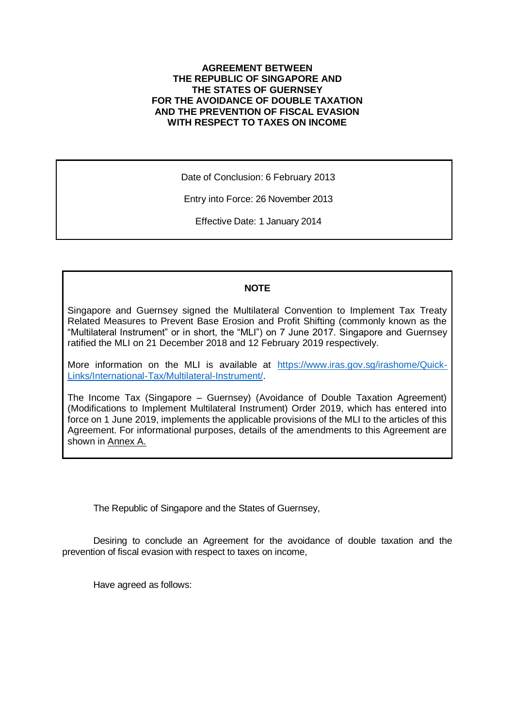#### **AGREEMENT BETWEEN THE REPUBLIC OF SINGAPORE AND THE STATES OF GUERNSEY FOR THE AVOIDANCE OF DOUBLE TAXATION AND THE PREVENTION OF FISCAL EVASION WITH RESPECT TO TAXES ON INCOME**

Date of Conclusion: 6 February 2013

Entry into Force: 26 November 2013

Effective Date: 1 January 2014

## **NOTE**

Singapore and Guernsey signed the Multilateral Convention to Implement Tax Treaty Related Measures to Prevent Base Erosion and Profit Shifting (commonly known as the "Multilateral Instrument" or in short, the "MLI") on 7 June 2017. Singapore and Guernsey ratified the MLI on 21 December 2018 and 12 February 2019 respectively.

More information on the MLI is available at [https://www.iras.gov.sg/irashome/Quick-](https://www.iras.gov.sg/irashome/Quick-Links/International-Tax/Multilateral-Instrument/)[Links/International-Tax/Multilateral-Instrument/.](https://www.iras.gov.sg/irashome/Quick-Links/International-Tax/Multilateral-Instrument/)

The Income Tax (Singapore – Guernsey) (Avoidance of Double Taxation Agreement) (Modifications to Implement Multilateral Instrument) Order 2019, which has entered into force on 1 June 2019, implements the applicable provisions of the MLI to the articles of this Agreement. For informational purposes, details of the amendments to this Agreement are shown in Annex A.

The Republic of Singapore and the States of Guernsey,

Desiring to conclude an Agreement for the avoidance of double taxation and the prevention of fiscal evasion with respect to taxes on income,

Have agreed as follows: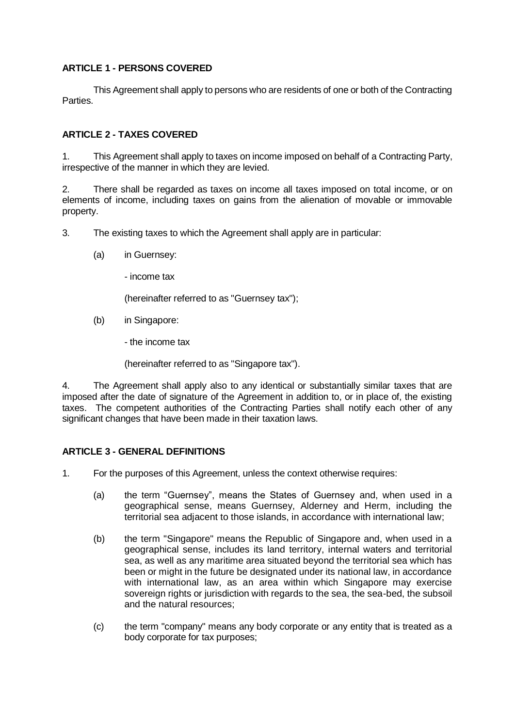# **ARTICLE 1 - PERSONS COVERED**

This Agreement shall apply to persons who are residents of one or both of the Contracting **Parties** 

# **ARTICLE 2 - TAXES COVERED**

1. This Agreement shall apply to taxes on income imposed on behalf of a Contracting Party, irrespective of the manner in which they are levied.

2. There shall be regarded as taxes on income all taxes imposed on total income, or on elements of income, including taxes on gains from the alienation of movable or immovable property.

3. The existing taxes to which the Agreement shall apply are in particular:

- (a) in Guernsey:
	- income tax

(hereinafter referred to as "Guernsey tax");

- (b) in Singapore:
	- the income tax

(hereinafter referred to as "Singapore tax").

4. The Agreement shall apply also to any identical or substantially similar taxes that are imposed after the date of signature of the Agreement in addition to, or in place of, the existing taxes. The competent authorities of the Contracting Parties shall notify each other of any significant changes that have been made in their taxation laws.

## **ARTICLE 3 - GENERAL DEFINITIONS**

1. For the purposes of this Agreement, unless the context otherwise requires:

- (a) the term "Guernsey", means the States of Guernsey and, when used in a geographical sense, means Guernsey, Alderney and Herm, including the territorial sea adjacent to those islands, in accordance with international law;
- (b) the term "Singapore" means the Republic of Singapore and, when used in a geographical sense, includes its land territory, internal waters and territorial sea, as well as any maritime area situated beyond the territorial sea which has been or might in the future be designated under its national law, in accordance with international law, as an area within which Singapore may exercise sovereign rights or jurisdiction with regards to the sea, the sea-bed, the subsoil and the natural resources;
- (c) the term "company" means any body corporate or any entity that is treated as a body corporate for tax purposes;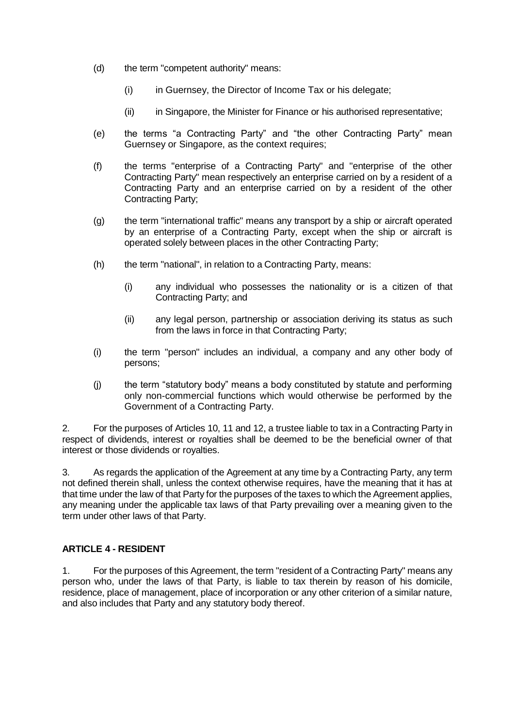- (d) the term "competent authority" means:
	- (i) in Guernsey, the Director of Income Tax or his delegate;
	- (ii) in Singapore, the Minister for Finance or his authorised representative;
- (e) the terms "a Contracting Party" and "the other Contracting Party" mean Guernsey or Singapore, as the context requires;
- (f) the terms "enterprise of a Contracting Party" and "enterprise of the other Contracting Party" mean respectively an enterprise carried on by a resident of a Contracting Party and an enterprise carried on by a resident of the other Contracting Party;
- (g) the term "international traffic" means any transport by a ship or aircraft operated by an enterprise of a Contracting Party, except when the ship or aircraft is operated solely between places in the other Contracting Party;
- (h) the term "national", in relation to a Contracting Party, means:
	- (i) any individual who possesses the nationality or is a citizen of that Contracting Party; and
	- (ii) any legal person, partnership or association deriving its status as such from the laws in force in that Contracting Party;
- (i) the term "person" includes an individual, a company and any other body of persons;
- (j) the term "statutory body" means a body constituted by statute and performing only non-commercial functions which would otherwise be performed by the Government of a Contracting Party.

2. For the purposes of Articles 10, 11 and 12, a trustee liable to tax in a Contracting Party in respect of dividends, interest or royalties shall be deemed to be the beneficial owner of that interest or those dividends or royalties.

3. As regards the application of the Agreement at any time by a Contracting Party, any term not defined therein shall, unless the context otherwise requires, have the meaning that it has at that time under the law of that Party for the purposes of the taxes to which the Agreement applies, any meaning under the applicable tax laws of that Party prevailing over a meaning given to the term under other laws of that Party.

## **ARTICLE 4 - RESIDENT**

1. For the purposes of this Agreement, the term "resident of a Contracting Party" means any person who, under the laws of that Party, is liable to tax therein by reason of his domicile, residence, place of management, place of incorporation or any other criterion of a similar nature, and also includes that Party and any statutory body thereof.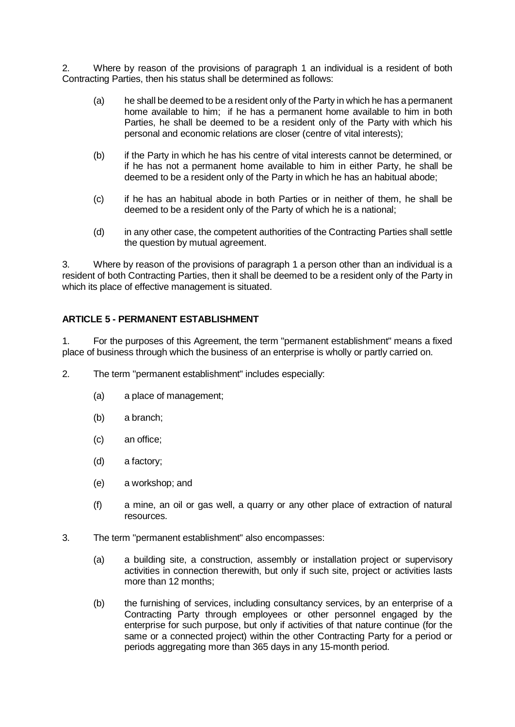2. Where by reason of the provisions of paragraph 1 an individual is a resident of both Contracting Parties, then his status shall be determined as follows:

- (a) he shall be deemed to be a resident only of the Party in which he has a permanent home available to him; if he has a permanent home available to him in both Parties, he shall be deemed to be a resident only of the Party with which his personal and economic relations are closer (centre of vital interests);
- (b) if the Party in which he has his centre of vital interests cannot be determined, or if he has not a permanent home available to him in either Party, he shall be deemed to be a resident only of the Party in which he has an habitual abode;
- (c) if he has an habitual abode in both Parties or in neither of them, he shall be deemed to be a resident only of the Party of which he is a national;
- (d) in any other case, the competent authorities of the Contracting Parties shall settle the question by mutual agreement.

3. Where by reason of the provisions of paragraph 1 a person other than an individual is a resident of both Contracting Parties, then it shall be deemed to be a resident only of the Party in which its place of effective management is situated.

# **ARTICLE 5 - PERMANENT ESTABLISHMENT**

1. For the purposes of this Agreement, the term "permanent establishment" means a fixed place of business through which the business of an enterprise is wholly or partly carried on.

- 2. The term "permanent establishment" includes especially:
	- (a) a place of management;
	- (b) a branch;
	- (c) an office;
	- (d) a factory;
	- (e) a workshop; and
	- (f) a mine, an oil or gas well, a quarry or any other place of extraction of natural resources.
- 3. The term "permanent establishment" also encompasses:
	- (a) a building site, a construction, assembly or installation project or supervisory activities in connection therewith, but only if such site, project or activities lasts more than 12 months;
	- (b) the furnishing of services, including consultancy services, by an enterprise of a Contracting Party through employees or other personnel engaged by the enterprise for such purpose, but only if activities of that nature continue (for the same or a connected project) within the other Contracting Party for a period or periods aggregating more than 365 days in any 15-month period.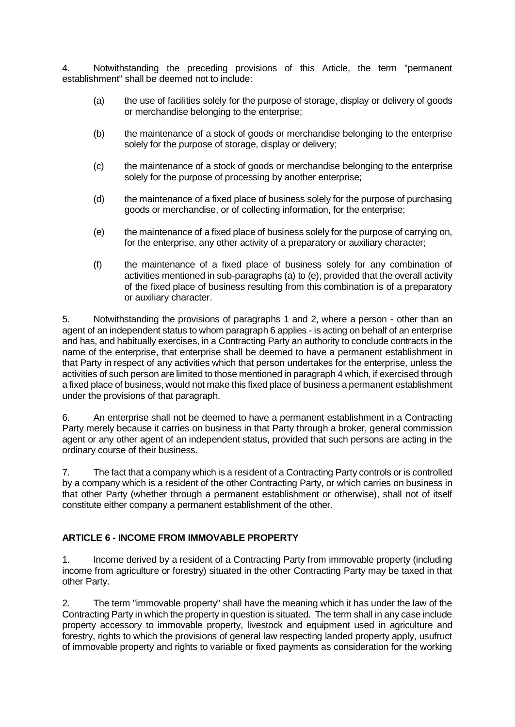4. Notwithstanding the preceding provisions of this Article, the term "permanent establishment" shall be deemed not to include:

- (a) the use of facilities solely for the purpose of storage, display or delivery of goods or merchandise belonging to the enterprise;
- (b) the maintenance of a stock of goods or merchandise belonging to the enterprise solely for the purpose of storage, display or delivery;
- (c) the maintenance of a stock of goods or merchandise belonging to the enterprise solely for the purpose of processing by another enterprise;
- (d) the maintenance of a fixed place of business solely for the purpose of purchasing goods or merchandise, or of collecting information, for the enterprise;
- (e) the maintenance of a fixed place of business solely for the purpose of carrying on, for the enterprise, any other activity of a preparatory or auxiliary character;
- (f) the maintenance of a fixed place of business solely for any combination of activities mentioned in sub-paragraphs (a) to (e), provided that the overall activity of the fixed place of business resulting from this combination is of a preparatory or auxiliary character.

5. Notwithstanding the provisions of paragraphs 1 and 2, where a person - other than an agent of an independent status to whom paragraph 6 applies - is acting on behalf of an enterprise and has, and habitually exercises, in a Contracting Party an authority to conclude contracts in the name of the enterprise, that enterprise shall be deemed to have a permanent establishment in that Party in respect of any activities which that person undertakes for the enterprise, unless the activities of such person are limited to those mentioned in paragraph 4 which, if exercised through a fixed place of business, would not make this fixed place of business a permanent establishment under the provisions of that paragraph.

6. An enterprise shall not be deemed to have a permanent establishment in a Contracting Party merely because it carries on business in that Party through a broker, general commission agent or any other agent of an independent status, provided that such persons are acting in the ordinary course of their business.

7. The fact that a company which is a resident of a Contracting Party controls or is controlled by a company which is a resident of the other Contracting Party, or which carries on business in that other Party (whether through a permanent establishment or otherwise), shall not of itself constitute either company a permanent establishment of the other.

# **ARTICLE 6 - INCOME FROM IMMOVABLE PROPERTY**

1. Income derived by a resident of a Contracting Party from immovable property (including income from agriculture or forestry) situated in the other Contracting Party may be taxed in that other Party.

2. The term "immovable property" shall have the meaning which it has under the law of the Contracting Party in which the property in question is situated. The term shall in any case include property accessory to immovable property, livestock and equipment used in agriculture and forestry, rights to which the provisions of general law respecting landed property apply, usufruct of immovable property and rights to variable or fixed payments as consideration for the working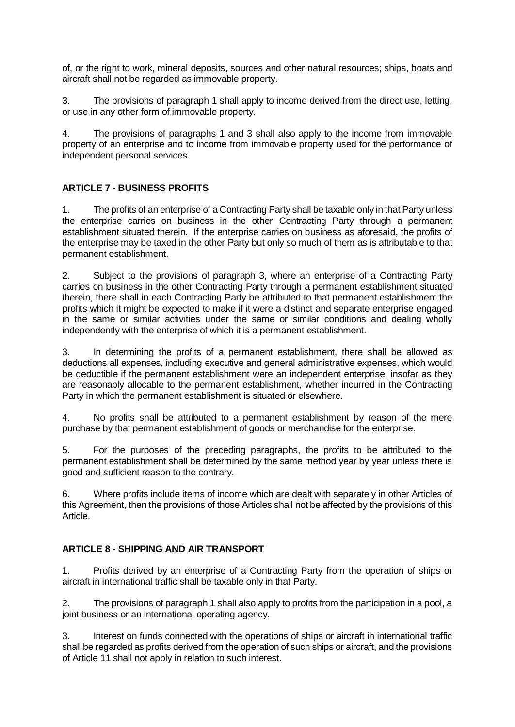of, or the right to work, mineral deposits, sources and other natural resources; ships, boats and aircraft shall not be regarded as immovable property.

3. The provisions of paragraph 1 shall apply to income derived from the direct use, letting, or use in any other form of immovable property.

4. The provisions of paragraphs 1 and 3 shall also apply to the income from immovable property of an enterprise and to income from immovable property used for the performance of independent personal services.

# **ARTICLE 7 - BUSINESS PROFITS**

1. The profits of an enterprise of a Contracting Party shall be taxable only in that Party unless the enterprise carries on business in the other Contracting Party through a permanent establishment situated therein. If the enterprise carries on business as aforesaid, the profits of the enterprise may be taxed in the other Party but only so much of them as is attributable to that permanent establishment.

2. Subject to the provisions of paragraph 3, where an enterprise of a Contracting Party carries on business in the other Contracting Party through a permanent establishment situated therein, there shall in each Contracting Party be attributed to that permanent establishment the profits which it might be expected to make if it were a distinct and separate enterprise engaged in the same or similar activities under the same or similar conditions and dealing wholly independently with the enterprise of which it is a permanent establishment.

3. In determining the profits of a permanent establishment, there shall be allowed as deductions all expenses, including executive and general administrative expenses, which would be deductible if the permanent establishment were an independent enterprise, insofar as they are reasonably allocable to the permanent establishment, whether incurred in the Contracting Party in which the permanent establishment is situated or elsewhere.

4. No profits shall be attributed to a permanent establishment by reason of the mere purchase by that permanent establishment of goods or merchandise for the enterprise.

5. For the purposes of the preceding paragraphs, the profits to be attributed to the permanent establishment shall be determined by the same method year by year unless there is good and sufficient reason to the contrary.

6. Where profits include items of income which are dealt with separately in other Articles of this Agreement, then the provisions of those Articles shall not be affected by the provisions of this Article.

## **ARTICLE 8 - SHIPPING AND AIR TRANSPORT**

1. Profits derived by an enterprise of a Contracting Party from the operation of ships or aircraft in international traffic shall be taxable only in that Party.

2. The provisions of paragraph 1 shall also apply to profits from the participation in a pool, a joint business or an international operating agency.

3. Interest on funds connected with the operations of ships or aircraft in international traffic shall be regarded as profits derived from the operation of such ships or aircraft, and the provisions of Article 11 shall not apply in relation to such interest.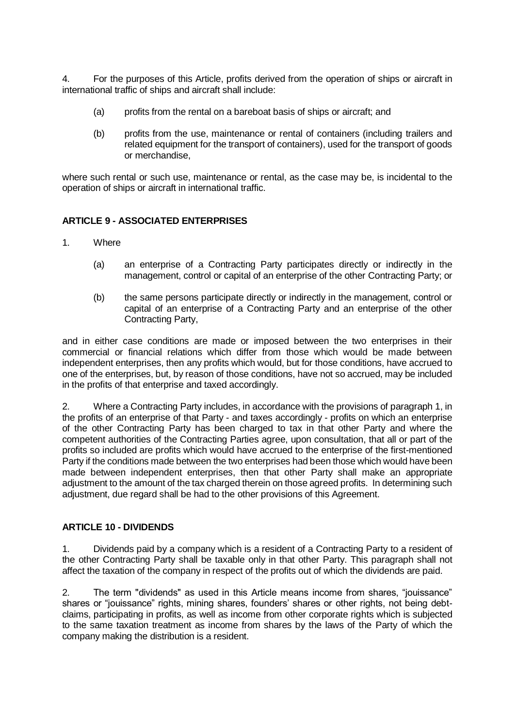4. For the purposes of this Article, profits derived from the operation of ships or aircraft in international traffic of ships and aircraft shall include:

- (a) profits from the rental on a bareboat basis of ships or aircraft; and
- (b) profits from the use, maintenance or rental of containers (including trailers and related equipment for the transport of containers), used for the transport of goods or merchandise,

where such rental or such use, maintenance or rental, as the case may be, is incidental to the operation of ships or aircraft in international traffic.

# **ARTICLE 9 - ASSOCIATED ENTERPRISES**

- 1. Where
	- (a) an enterprise of a Contracting Party participates directly or indirectly in the management, control or capital of an enterprise of the other Contracting Party; or
	- (b) the same persons participate directly or indirectly in the management, control or capital of an enterprise of a Contracting Party and an enterprise of the other Contracting Party,

and in either case conditions are made or imposed between the two enterprises in their commercial or financial relations which differ from those which would be made between independent enterprises, then any profits which would, but for those conditions, have accrued to one of the enterprises, but, by reason of those conditions, have not so accrued, may be included in the profits of that enterprise and taxed accordingly.

2. Where a Contracting Party includes, in accordance with the provisions of paragraph 1, in the profits of an enterprise of that Party - and taxes accordingly - profits on which an enterprise of the other Contracting Party has been charged to tax in that other Party and where the competent authorities of the Contracting Parties agree, upon consultation, that all or part of the profits so included are profits which would have accrued to the enterprise of the first-mentioned Party if the conditions made between the two enterprises had been those which would have been made between independent enterprises, then that other Party shall make an appropriate adjustment to the amount of the tax charged therein on those agreed profits. In determining such adjustment, due regard shall be had to the other provisions of this Agreement.

# **ARTICLE 10 - DIVIDENDS**

1. Dividends paid by a company which is a resident of a Contracting Party to a resident of the other Contracting Party shall be taxable only in that other Party. This paragraph shall not affect the taxation of the company in respect of the profits out of which the dividends are paid.

2. The term "dividends" as used in this Article means income from shares, "jouissance" shares or "jouissance" rights, mining shares, founders' shares or other rights, not being debtclaims, participating in profits, as well as income from other corporate rights which is subjected to the same taxation treatment as income from shares by the laws of the Party of which the company making the distribution is a resident.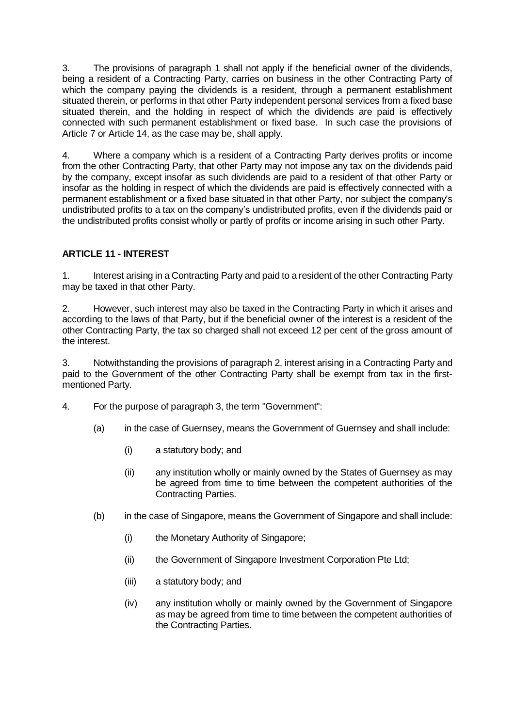3. The provisions of paragraph 1 shall not apply if the beneficial owner of the dividends, being a resident of a Contracting Party, carries on business in the other Contracting Party of which the company paying the dividends is a resident, through a permanent establishment situated therein, or performs in that other Party independent personal services from a fixed base situated therein, and the holding in respect of which the dividends are paid is effectively connected with such permanent establishment or fixed base. In such case the provisions of Article 7 or Article 14, as the case may be, shall apply.

4. Where a company which is a resident of a Contracting Party derives profits or income from the other Contracting Party, that other Party may not impose any tax on the dividends paid by the company, except insofar as such dividends are paid to a resident of that other Party or insofar as the holding in respect of which the dividends are paid is effectively connected with a permanent establishment or a fixed base situated in that other Party, nor subject the company's undistributed profits to a tax on the company's undistributed profits, even if the dividends paid or the undistributed profits consist wholly or partly of profits or income arising in such other Party.

# **ARTICLE 11 - INTEREST**

1. Interest arising in a Contracting Party and paid to a resident of the other Contracting Party may be taxed in that other Party.

2. However, such interest may also be taxed in the Contracting Party in which it arises and according to the laws of that Party, but if the beneficial owner of the interest is a resident of the other Contracting Party, the tax so charged shall not exceed 12 per cent of the gross amount of the interest.

3. Notwithstanding the provisions of paragraph 2, interest arising in a Contracting Party and paid to the Government of the other Contracting Party shall be exempt from tax in the firstmentioned Party.

- 4. For the purpose of paragraph 3, the term "Government":
	- (a) in the case of Guernsey, means the Government of Guernsey and shall include:
		- (i) a statutory body; and
		- (ii) any institution wholly or mainly owned by the States of Guernsey as may be agreed from time to time between the competent authorities of the Contracting Parties.
	- (b) in the case of Singapore, means the Government of Singapore and shall include:
		- (i) the Monetary Authority of Singapore;
		- (ii) the Government of Singapore Investment Corporation Pte Ltd;
		- (iii) a statutory body; and
		- (iv) any institution wholly or mainly owned by the Government of Singapore as may be agreed from time to time between the competent authorities of the Contracting Parties.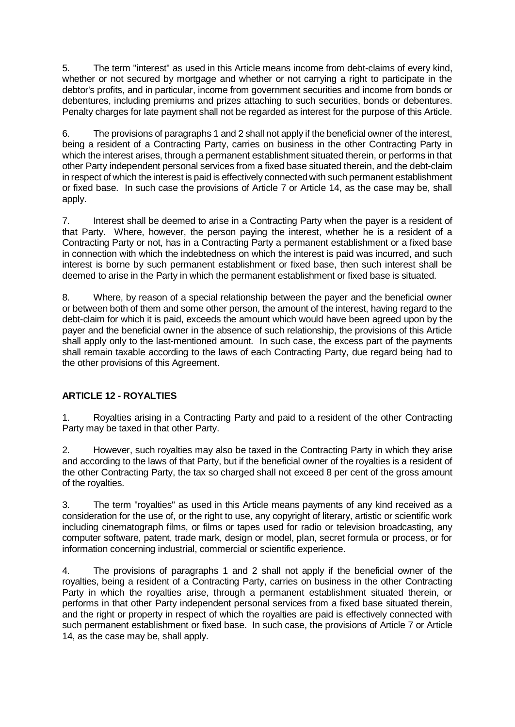5. The term "interest" as used in this Article means income from debt-claims of every kind, whether or not secured by mortgage and whether or not carrying a right to participate in the debtor's profits, and in particular, income from government securities and income from bonds or debentures, including premiums and prizes attaching to such securities, bonds or debentures. Penalty charges for late payment shall not be regarded as interest for the purpose of this Article.

6. The provisions of paragraphs 1 and 2 shall not apply if the beneficial owner of the interest, being a resident of a Contracting Party, carries on business in the other Contracting Party in which the interest arises, through a permanent establishment situated therein, or performs in that other Party independent personal services from a fixed base situated therein, and the debt-claim in respect of which the interest is paid is effectively connected with such permanent establishment or fixed base. In such case the provisions of Article 7 or Article 14, as the case may be, shall apply.

7. Interest shall be deemed to arise in a Contracting Party when the payer is a resident of that Party. Where, however, the person paying the interest, whether he is a resident of a Contracting Party or not, has in a Contracting Party a permanent establishment or a fixed base in connection with which the indebtedness on which the interest is paid was incurred, and such interest is borne by such permanent establishment or fixed base, then such interest shall be deemed to arise in the Party in which the permanent establishment or fixed base is situated.

8. Where, by reason of a special relationship between the payer and the beneficial owner or between both of them and some other person, the amount of the interest, having regard to the debt-claim for which it is paid, exceeds the amount which would have been agreed upon by the payer and the beneficial owner in the absence of such relationship, the provisions of this Article shall apply only to the last-mentioned amount. In such case, the excess part of the payments shall remain taxable according to the laws of each Contracting Party, due regard being had to the other provisions of this Agreement.

# **ARTICLE 12 - ROYALTIES**

1. Royalties arising in a Contracting Party and paid to a resident of the other Contracting Party may be taxed in that other Party.

2. However, such royalties may also be taxed in the Contracting Party in which they arise and according to the laws of that Party, but if the beneficial owner of the royalties is a resident of the other Contracting Party, the tax so charged shall not exceed 8 per cent of the gross amount of the royalties.

3. The term "royalties" as used in this Article means payments of any kind received as a consideration for the use of, or the right to use, any copyright of literary, artistic or scientific work including cinematograph films, or films or tapes used for radio or television broadcasting, any computer software, patent, trade mark, design or model, plan, secret formula or process, or for information concerning industrial, commercial or scientific experience.

4. The provisions of paragraphs 1 and 2 shall not apply if the beneficial owner of the royalties, being a resident of a Contracting Party, carries on business in the other Contracting Party in which the royalties arise, through a permanent establishment situated therein, or performs in that other Party independent personal services from a fixed base situated therein, and the right or property in respect of which the royalties are paid is effectively connected with such permanent establishment or fixed base. In such case, the provisions of Article 7 or Article 14, as the case may be, shall apply.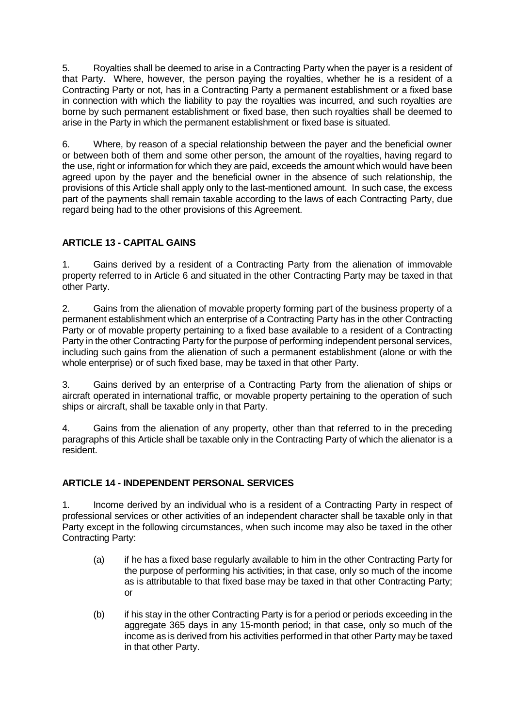5. Royalties shall be deemed to arise in a Contracting Party when the payer is a resident of that Party. Where, however, the person paying the royalties, whether he is a resident of a Contracting Party or not, has in a Contracting Party a permanent establishment or a fixed base in connection with which the liability to pay the royalties was incurred, and such royalties are borne by such permanent establishment or fixed base, then such royalties shall be deemed to arise in the Party in which the permanent establishment or fixed base is situated.

6. Where, by reason of a special relationship between the payer and the beneficial owner or between both of them and some other person, the amount of the royalties, having regard to the use, right or information for which they are paid, exceeds the amount which would have been agreed upon by the payer and the beneficial owner in the absence of such relationship, the provisions of this Article shall apply only to the last-mentioned amount. In such case, the excess part of the payments shall remain taxable according to the laws of each Contracting Party, due regard being had to the other provisions of this Agreement.

# **ARTICLE 13 - CAPITAL GAINS**

1. Gains derived by a resident of a Contracting Party from the alienation of immovable property referred to in Article 6 and situated in the other Contracting Party may be taxed in that other Party.

2. Gains from the alienation of movable property forming part of the business property of a permanent establishment which an enterprise of a Contracting Party has in the other Contracting Party or of movable property pertaining to a fixed base available to a resident of a Contracting Party in the other Contracting Party for the purpose of performing independent personal services, including such gains from the alienation of such a permanent establishment (alone or with the whole enterprise) or of such fixed base, may be taxed in that other Party.

3. Gains derived by an enterprise of a Contracting Party from the alienation of ships or aircraft operated in international traffic, or movable property pertaining to the operation of such ships or aircraft, shall be taxable only in that Party.

4. Gains from the alienation of any property, other than that referred to in the preceding paragraphs of this Article shall be taxable only in the Contracting Party of which the alienator is a resident.

# **ARTICLE 14 - INDEPENDENT PERSONAL SERVICES**

1. Income derived by an individual who is a resident of a Contracting Party in respect of professional services or other activities of an independent character shall be taxable only in that Party except in the following circumstances, when such income may also be taxed in the other Contracting Party:

- (a) if he has a fixed base regularly available to him in the other Contracting Party for the purpose of performing his activities; in that case, only so much of the income as is attributable to that fixed base may be taxed in that other Contracting Party; or
- (b) if his stay in the other Contracting Party is for a period or periods exceeding in the aggregate 365 days in any 15-month period; in that case, only so much of the income as is derived from his activities performed in that other Party may be taxed in that other Party.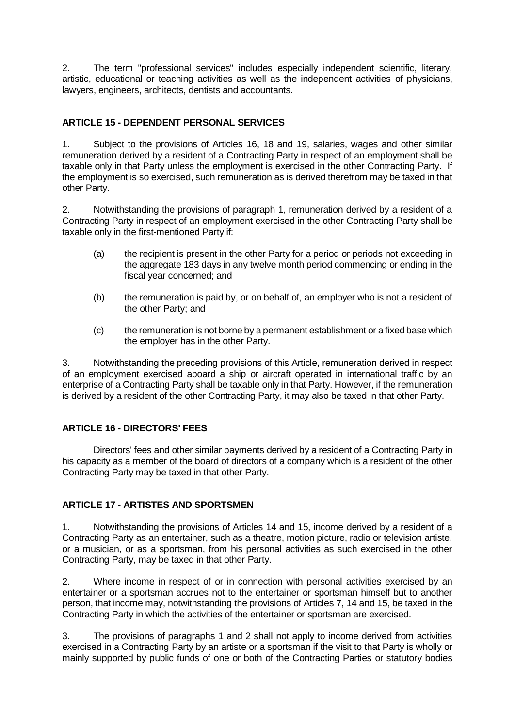2. The term "professional services" includes especially independent scientific, literary, artistic, educational or teaching activities as well as the independent activities of physicians, lawyers, engineers, architects, dentists and accountants.

# **ARTICLE 15 - DEPENDENT PERSONAL SERVICES**

1. Subject to the provisions of Articles 16, 18 and 19, salaries, wages and other similar remuneration derived by a resident of a Contracting Party in respect of an employment shall be taxable only in that Party unless the employment is exercised in the other Contracting Party. If the employment is so exercised, such remuneration as is derived therefrom may be taxed in that other Party.

2. Notwithstanding the provisions of paragraph 1, remuneration derived by a resident of a Contracting Party in respect of an employment exercised in the other Contracting Party shall be taxable only in the first-mentioned Party if:

- (a) the recipient is present in the other Party for a period or periods not exceeding in the aggregate 183 days in any twelve month period commencing or ending in the fiscal year concerned; and
- (b) the remuneration is paid by, or on behalf of, an employer who is not a resident of the other Party; and
- (c) the remuneration is not borne by a permanent establishment or a fixed base which the employer has in the other Party.

3. Notwithstanding the preceding provisions of this Article, remuneration derived in respect of an employment exercised aboard a ship or aircraft operated in international traffic by an enterprise of a Contracting Party shall be taxable only in that Party. However, if the remuneration is derived by a resident of the other Contracting Party, it may also be taxed in that other Party.

## **ARTICLE 16 - DIRECTORS' FEES**

Directors' fees and other similar payments derived by a resident of a Contracting Party in his capacity as a member of the board of directors of a company which is a resident of the other Contracting Party may be taxed in that other Party.

# **ARTICLE 17 - ARTISTES AND SPORTSMEN**

1. Notwithstanding the provisions of Articles 14 and 15, income derived by a resident of a Contracting Party as an entertainer, such as a theatre, motion picture, radio or television artiste, or a musician, or as a sportsman, from his personal activities as such exercised in the other Contracting Party, may be taxed in that other Party.

2. Where income in respect of or in connection with personal activities exercised by an entertainer or a sportsman accrues not to the entertainer or sportsman himself but to another person, that income may, notwithstanding the provisions of Articles 7, 14 and 15, be taxed in the Contracting Party in which the activities of the entertainer or sportsman are exercised.

3. The provisions of paragraphs 1 and 2 shall not apply to income derived from activities exercised in a Contracting Party by an artiste or a sportsman if the visit to that Party is wholly or mainly supported by public funds of one or both of the Contracting Parties or statutory bodies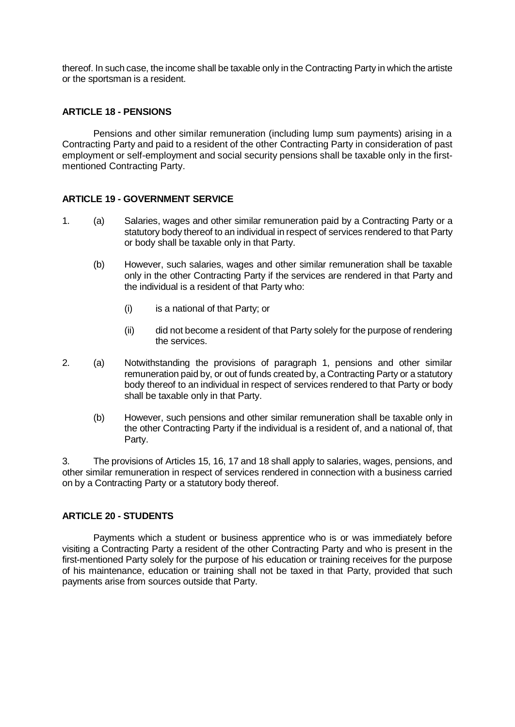thereof. In such case, the income shall be taxable only in the Contracting Party in which the artiste or the sportsman is a resident.

#### **ARTICLE 18 - PENSIONS**

Pensions and other similar remuneration (including lump sum payments) arising in a Contracting Party and paid to a resident of the other Contracting Party in consideration of past employment or self-employment and social security pensions shall be taxable only in the firstmentioned Contracting Party.

#### **ARTICLE 19 - GOVERNMENT SERVICE**

- 1. (a) Salaries, wages and other similar remuneration paid by a Contracting Party or a statutory body thereof to an individual in respect of services rendered to that Party or body shall be taxable only in that Party.
	- (b) However, such salaries, wages and other similar remuneration shall be taxable only in the other Contracting Party if the services are rendered in that Party and the individual is a resident of that Party who:
		- (i) is a national of that Party; or
		- (ii) did not become a resident of that Party solely for the purpose of rendering the services.
- 2. (a) Notwithstanding the provisions of paragraph 1, pensions and other similar remuneration paid by, or out of funds created by, a Contracting Party or a statutory body thereof to an individual in respect of services rendered to that Party or body shall be taxable only in that Party.
	- (b) However, such pensions and other similar remuneration shall be taxable only in the other Contracting Party if the individual is a resident of, and a national of, that Party.

3. The provisions of Articles 15, 16, 17 and 18 shall apply to salaries, wages, pensions, and other similar remuneration in respect of services rendered in connection with a business carried on by a Contracting Party or a statutory body thereof.

# **ARTICLE 20 - STUDENTS**

Payments which a student or business apprentice who is or was immediately before visiting a Contracting Party a resident of the other Contracting Party and who is present in the first-mentioned Party solely for the purpose of his education or training receives for the purpose of his maintenance, education or training shall not be taxed in that Party, provided that such payments arise from sources outside that Party.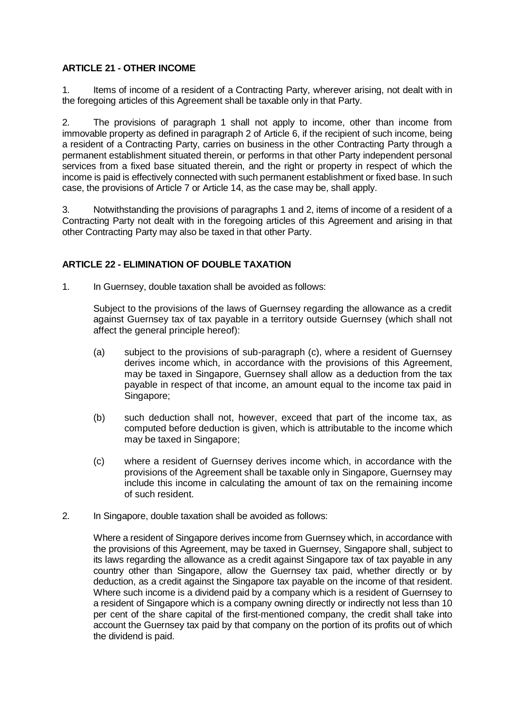## **ARTICLE 21 - OTHER INCOME**

1. Items of income of a resident of a Contracting Party, wherever arising, not dealt with in the foregoing articles of this Agreement shall be taxable only in that Party.

2. The provisions of paragraph 1 shall not apply to income, other than income from immovable property as defined in paragraph 2 of Article 6, if the recipient of such income, being a resident of a Contracting Party, carries on business in the other Contracting Party through a permanent establishment situated therein, or performs in that other Party independent personal services from a fixed base situated therein, and the right or property in respect of which the income is paid is effectively connected with such permanent establishment or fixed base. In such case, the provisions of Article 7 or Article 14, as the case may be, shall apply.

3. Notwithstanding the provisions of paragraphs 1 and 2, items of income of a resident of a Contracting Party not dealt with in the foregoing articles of this Agreement and arising in that other Contracting Party may also be taxed in that other Party.

## **ARTICLE 22 - ELIMINATION OF DOUBLE TAXATION**

1. In Guernsey, double taxation shall be avoided as follows:

Subject to the provisions of the laws of Guernsey regarding the allowance as a credit against Guernsey tax of tax payable in a territory outside Guernsey (which shall not affect the general principle hereof):

- (a) subject to the provisions of sub-paragraph (c), where a resident of Guernsey derives income which, in accordance with the provisions of this Agreement, may be taxed in Singapore, Guernsey shall allow as a deduction from the tax payable in respect of that income, an amount equal to the income tax paid in Singapore;
- (b) such deduction shall not, however, exceed that part of the income tax, as computed before deduction is given, which is attributable to the income which may be taxed in Singapore;
- (c) where a resident of Guernsey derives income which, in accordance with the provisions of the Agreement shall be taxable only in Singapore, Guernsey may include this income in calculating the amount of tax on the remaining income of such resident.
- 2. In Singapore, double taxation shall be avoided as follows:

Where a resident of Singapore derives income from Guernsey which, in accordance with the provisions of this Agreement, may be taxed in Guernsey, Singapore shall, subject to its laws regarding the allowance as a credit against Singapore tax of tax payable in any country other than Singapore, allow the Guernsey tax paid, whether directly or by deduction, as a credit against the Singapore tax payable on the income of that resident. Where such income is a dividend paid by a company which is a resident of Guernsey to a resident of Singapore which is a company owning directly or indirectly not less than 10 per cent of the share capital of the first-mentioned company, the credit shall take into account the Guernsey tax paid by that company on the portion of its profits out of which the dividend is paid.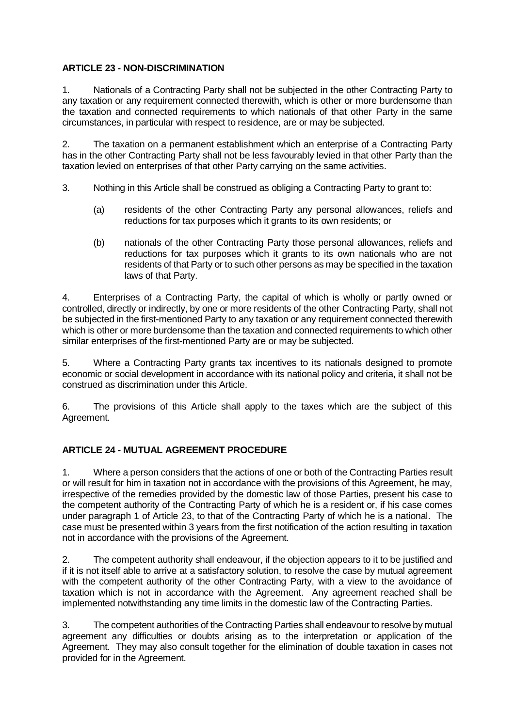# **ARTICLE 23 - NON-DISCRIMINATION**

1. Nationals of a Contracting Party shall not be subjected in the other Contracting Party to any taxation or any requirement connected therewith, which is other or more burdensome than the taxation and connected requirements to which nationals of that other Party in the same circumstances, in particular with respect to residence, are or may be subjected.

2. The taxation on a permanent establishment which an enterprise of a Contracting Party has in the other Contracting Party shall not be less favourably levied in that other Party than the taxation levied on enterprises of that other Party carrying on the same activities.

- 3. Nothing in this Article shall be construed as obliging a Contracting Party to grant to:
	- (a) residents of the other Contracting Party any personal allowances, reliefs and reductions for tax purposes which it grants to its own residents; or
	- (b) nationals of the other Contracting Party those personal allowances, reliefs and reductions for tax purposes which it grants to its own nationals who are not residents of that Party or to such other persons as may be specified in the taxation laws of that Party.

4. Enterprises of a Contracting Party, the capital of which is wholly or partly owned or controlled, directly or indirectly, by one or more residents of the other Contracting Party, shall not be subjected in the first-mentioned Party to any taxation or any requirement connected therewith which is other or more burdensome than the taxation and connected requirements to which other similar enterprises of the first-mentioned Party are or may be subjected.

5. Where a Contracting Party grants tax incentives to its nationals designed to promote economic or social development in accordance with its national policy and criteria, it shall not be construed as discrimination under this Article.

6. The provisions of this Article shall apply to the taxes which are the subject of this Agreement.

# **ARTICLE 24 - MUTUAL AGREEMENT PROCEDURE**

1. Where a person considers that the actions of one or both of the Contracting Parties result or will result for him in taxation not in accordance with the provisions of this Agreement, he may, irrespective of the remedies provided by the domestic law of those Parties, present his case to the competent authority of the Contracting Party of which he is a resident or, if his case comes under paragraph 1 of Article 23, to that of the Contracting Party of which he is a national. The case must be presented within 3 years from the first notification of the action resulting in taxation not in accordance with the provisions of the Agreement.

2. The competent authority shall endeavour, if the objection appears to it to be justified and if it is not itself able to arrive at a satisfactory solution, to resolve the case by mutual agreement with the competent authority of the other Contracting Party, with a view to the avoidance of taxation which is not in accordance with the Agreement. Any agreement reached shall be implemented notwithstanding any time limits in the domestic law of the Contracting Parties.

3. The competent authorities of the Contracting Parties shall endeavour to resolve by mutual agreement any difficulties or doubts arising as to the interpretation or application of the Agreement. They may also consult together for the elimination of double taxation in cases not provided for in the Agreement.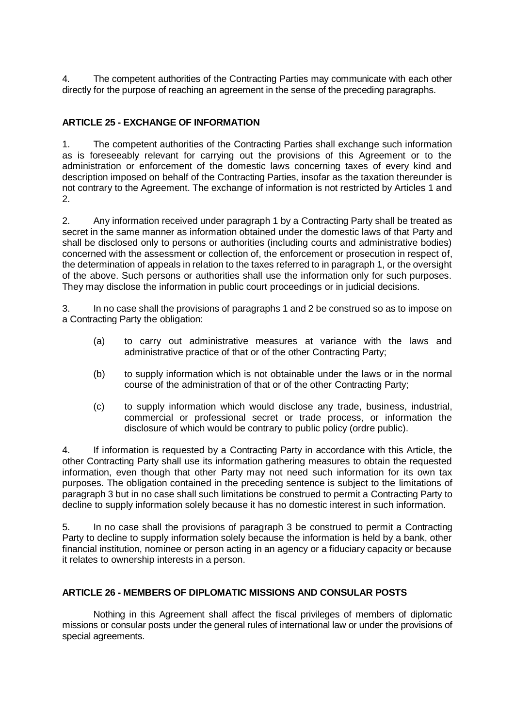4. The competent authorities of the Contracting Parties may communicate with each other directly for the purpose of reaching an agreement in the sense of the preceding paragraphs.

# **ARTICLE 25 - EXCHANGE OF INFORMATION**

1. The competent authorities of the Contracting Parties shall exchange such information as is foreseeably relevant for carrying out the provisions of this Agreement or to the administration or enforcement of the domestic laws concerning taxes of every kind and description imposed on behalf of the Contracting Parties, insofar as the taxation thereunder is not contrary to the Agreement. The exchange of information is not restricted by Articles 1 and 2.

2. Any information received under paragraph 1 by a Contracting Party shall be treated as secret in the same manner as information obtained under the domestic laws of that Party and shall be disclosed only to persons or authorities (including courts and administrative bodies) concerned with the assessment or collection of, the enforcement or prosecution in respect of, the determination of appeals in relation to the taxes referred to in paragraph 1, or the oversight of the above. Such persons or authorities shall use the information only for such purposes. They may disclose the information in public court proceedings or in judicial decisions.

3. In no case shall the provisions of paragraphs 1 and 2 be construed so as to impose on a Contracting Party the obligation:

- (a) to carry out administrative measures at variance with the laws and administrative practice of that or of the other Contracting Party;
- (b) to supply information which is not obtainable under the laws or in the normal course of the administration of that or of the other Contracting Party;
- (c) to supply information which would disclose any trade, business, industrial, commercial or professional secret or trade process, or information the disclosure of which would be contrary to public policy (ordre public).

4. If information is requested by a Contracting Party in accordance with this Article, the other Contracting Party shall use its information gathering measures to obtain the requested information, even though that other Party may not need such information for its own tax purposes. The obligation contained in the preceding sentence is subject to the limitations of paragraph 3 but in no case shall such limitations be construed to permit a Contracting Party to decline to supply information solely because it has no domestic interest in such information.

5. In no case shall the provisions of paragraph 3 be construed to permit a Contracting Party to decline to supply information solely because the information is held by a bank, other financial institution, nominee or person acting in an agency or a fiduciary capacity or because it relates to ownership interests in a person.

## **ARTICLE 26 - MEMBERS OF DIPLOMATIC MISSIONS AND CONSULAR POSTS**

Nothing in this Agreement shall affect the fiscal privileges of members of diplomatic missions or consular posts under the general rules of international law or under the provisions of special agreements.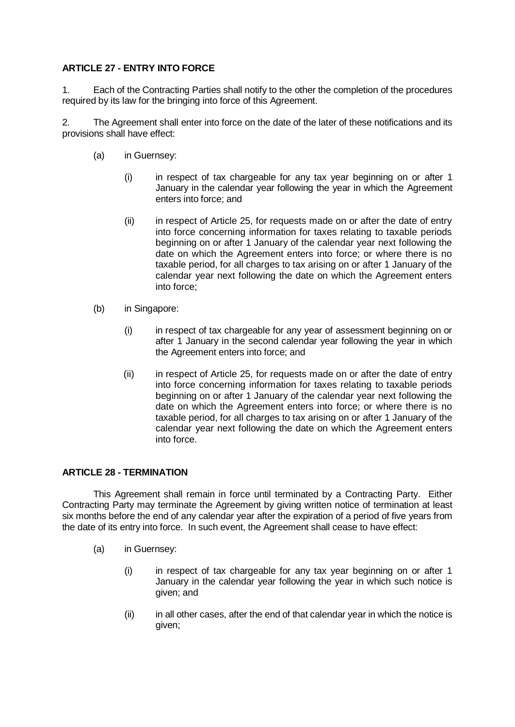# **ARTICLE 27 - ENTRY INTO FORCE**

1. Each of the Contracting Parties shall notify to the other the completion of the procedures required by its law for the bringing into force of this Agreement.

2. The Agreement shall enter into force on the date of the later of these notifications and its provisions shall have effect:

- (a) in Guernsey:
	- (i) in respect of tax chargeable for any tax year beginning on or after 1 January in the calendar year following the year in which the Agreement enters into force; and
	- (ii) in respect of Article 25, for requests made on or after the date of entry into force concerning information for taxes relating to taxable periods beginning on or after 1 January of the calendar year next following the date on which the Agreement enters into force; or where there is no taxable period, for all charges to tax arising on or after 1 January of the calendar year next following the date on which the Agreement enters into force;
- (b) in Singapore:
	- (i) in respect of tax chargeable for any year of assessment beginning on or after 1 January in the second calendar year following the year in which the Agreement enters into force; and
	- (ii) in respect of Article 25, for requests made on or after the date of entry into force concerning information for taxes relating to taxable periods beginning on or after 1 January of the calendar year next following the date on which the Agreement enters into force; or where there is no taxable period, for all charges to tax arising on or after 1 January of the calendar year next following the date on which the Agreement enters into force.

## **ARTICLE 28 - TERMINATION**

This Agreement shall remain in force until terminated by a Contracting Party. Either Contracting Party may terminate the Agreement by giving written notice of termination at least six months before the end of any calendar year after the expiration of a period of five years from the date of its entry into force. In such event, the Agreement shall cease to have effect:

- (a) in Guernsey:
	- (i) in respect of tax chargeable for any tax year beginning on or after 1 January in the calendar year following the year in which such notice is given; and
	- (ii) in all other cases, after the end of that calendar year in which the notice is given;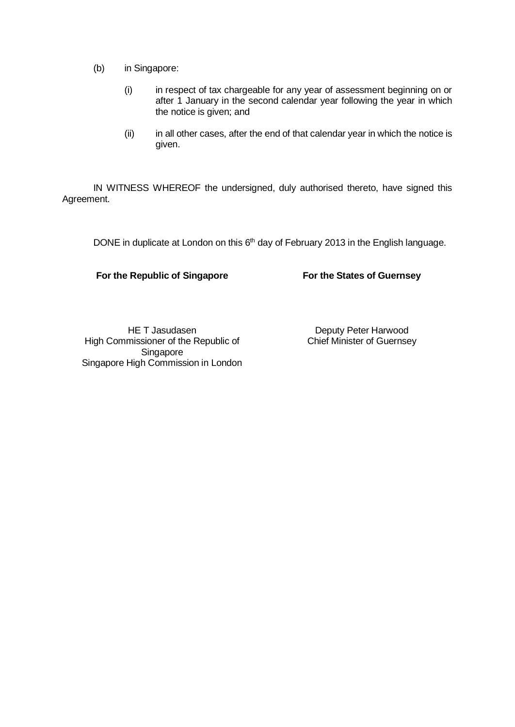- (b) in Singapore:
	- (i) in respect of tax chargeable for any year of assessment beginning on or after 1 January in the second calendar year following the year in which the notice is given; and
	- (ii) in all other cases, after the end of that calendar year in which the notice is given.

IN WITNESS WHEREOF the undersigned, duly authorised thereto, have signed this Agreement.

DONE in duplicate at London on this 6<sup>th</sup> day of February 2013 in the English language.

**For the Republic of Singapore**

**For the States of Guernsey**

HE T Jasudasen High Commissioner of the Republic of Singapore Singapore High Commission in London

Deputy Peter Harwood Chief Minister of Guernsey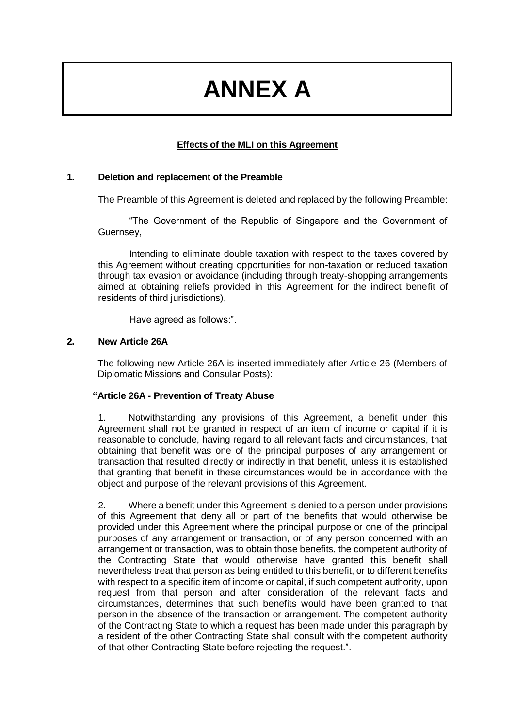# **ANNEX A**

# **Effects of the MLI on this Agreement**

## **1. Deletion and replacement of the Preamble**

The Preamble of this Agreement is deleted and replaced by the following Preamble:

"The Government of the Republic of Singapore and the Government of Guernsey,

Intending to eliminate double taxation with respect to the taxes covered by this Agreement without creating opportunities for non-taxation or reduced taxation through tax evasion or avoidance (including through treaty-shopping arrangements aimed at obtaining reliefs provided in this Agreement for the indirect benefit of residents of third jurisdictions),

Have agreed as follows:".

#### **2. New Article 26A**

The following new Article 26A is inserted immediately after Article 26 (Members of Diplomatic Missions and Consular Posts):

#### **"Article 26A - Prevention of Treaty Abuse**

1. Notwithstanding any provisions of this Agreement, a benefit under this Agreement shall not be granted in respect of an item of income or capital if it is reasonable to conclude, having regard to all relevant facts and circumstances, that obtaining that benefit was one of the principal purposes of any arrangement or transaction that resulted directly or indirectly in that benefit, unless it is established that granting that benefit in these circumstances would be in accordance with the object and purpose of the relevant provisions of this Agreement.

2. Where a benefit under this Agreement is denied to a person under provisions of this Agreement that deny all or part of the benefits that would otherwise be provided under this Agreement where the principal purpose or one of the principal purposes of any arrangement or transaction, or of any person concerned with an arrangement or transaction, was to obtain those benefits, the competent authority of the Contracting State that would otherwise have granted this benefit shall nevertheless treat that person as being entitled to this benefit, or to different benefits with respect to a specific item of income or capital, if such competent authority, upon request from that person and after consideration of the relevant facts and circumstances, determines that such benefits would have been granted to that person in the absence of the transaction or arrangement. The competent authority of the Contracting State to which a request has been made under this paragraph by a resident of the other Contracting State shall consult with the competent authority of that other Contracting State before rejecting the request.".